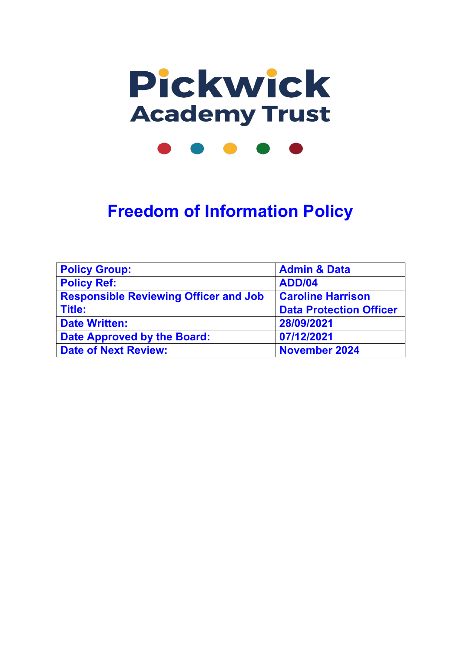

# **Freedom of Information Policy**

| <b>Policy Group:</b>                         | <b>Admin &amp; Data</b>        |
|----------------------------------------------|--------------------------------|
| <b>Policy Ref:</b>                           | <b>ADD/04</b>                  |
| <b>Responsible Reviewing Officer and Job</b> | <b>Caroline Harrison</b>       |
| <b>Title:</b>                                | <b>Data Protection Officer</b> |
| <b>Date Written:</b>                         | 28/09/2021                     |
| Date Approved by the Board:                  | 07/12/2021                     |
| <b>Date of Next Review:</b>                  | <b>November 2024</b>           |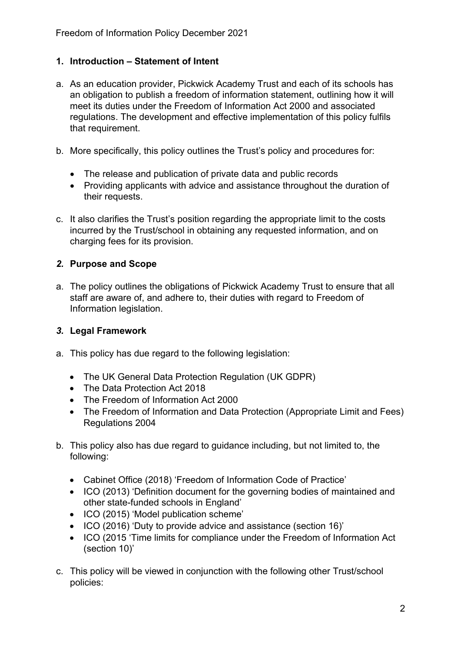### **1. Introduction – Statement of Intent**

- a. As an education provider, Pickwick Academy Trust and each of its schools has an obligation to publish a freedom of information statement, outlining how it will meet its duties under the Freedom of Information Act 2000 and associated regulations. The development and effective implementation of this policy fulfils that requirement.
- b. More specifically, this policy outlines the Trust's policy and procedures for:
	- The release and publication of private data and public records
	- Providing applicants with advice and assistance throughout the duration of their requests.
- c. It also clarifies the Trust's position regarding the appropriate limit to the costs incurred by the Trust/school in obtaining any requested information, and on charging fees for its provision.

## *2.* **Purpose and Scope**

a. The policy outlines the obligations of Pickwick Academy Trust to ensure that all staff are aware of, and adhere to, their duties with regard to Freedom of Information legislation.

#### *3.* **Legal Framework**

- a. This policy has due regard to the following legislation:
	- The UK General Data Protection Regulation (UK GDPR)
	- The Data Protection Act 2018
	- The Freedom of Information Act 2000
	- The Freedom of Information and Data Protection (Appropriate Limit and Fees) Regulations 2004
- b. This policy also has due regard to guidance including, but not limited to, the following:
	- Cabinet Office (2018) 'Freedom of Information Code of Practice'
	- ICO (2013) 'Definition document for the governing bodies of maintained and other state-funded schools in England'
	- ICO (2015) 'Model publication scheme'
	- ICO (2016) 'Duty to provide advice and assistance (section 16)'
	- ICO (2015 'Time limits for compliance under the Freedom of Information Act (section 10)'
- c. This policy will be viewed in conjunction with the following other Trust/school policies: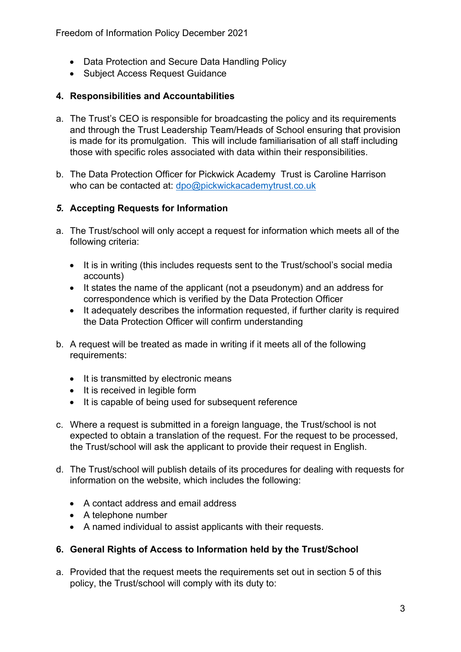Freedom of Information Policy December 2021

- Data Protection and Secure Data Handling Policy
- Subject Access Request Guidance

#### **4. Responsibilities and Accountabilities**

- a. The Trust's CEO is responsible for broadcasting the policy and its requirements and through the Trust Leadership Team/Heads of School ensuring that provision is made for its promulgation. This will include familiarisation of all staff including those with specific roles associated with data within their responsibilities.
- b. The Data Protection Officer for Pickwick Academy Trust is Caroline Harrison who can be contacted at: [dpo@pickwickacademytrust.co.uk](mailto:dpo@pickwickacademytrust.co.uk)

#### *5.* **Accepting Requests for Information**

- a. The Trust/school will only accept a request for information which meets all of the following criteria:
	- It is in writing (this includes requests sent to the Trust/school's social media accounts)
	- It states the name of the applicant (not a pseudonym) and an address for correspondence which is verified by the Data Protection Officer
	- It adequately describes the information requested, if further clarity is required the Data Protection Officer will confirm understanding
- b. A request will be treated as made in writing if it meets all of the following requirements:
	- It is transmitted by electronic means
	- It is received in legible form
	- It is capable of being used for subsequent reference
- c. Where a request is submitted in a foreign language, the Trust/school is not expected to obtain a translation of the request. For the request to be processed, the Trust/school will ask the applicant to provide their request in English.
- d. The Trust/school will publish details of its procedures for dealing with requests for information on the website, which includes the following:
	- A contact address and email address
	- A telephone number
	- A named individual to assist applicants with their requests.

#### **6. General Rights of Access to Information held by the Trust/School**

a. Provided that the request meets the requirements set out in section 5 of this policy, the Trust/school will comply with its duty to: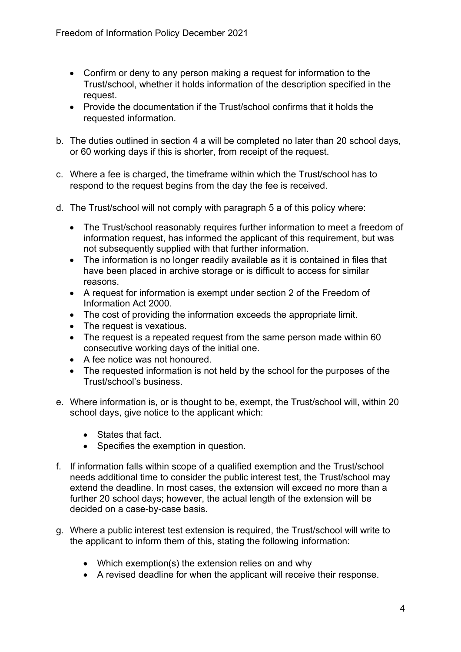- Confirm or deny to any person making a request for information to the Trust/school, whether it holds information of the description specified in the request.
- Provide the documentation if the Trust/school confirms that it holds the requested information.
- b. The duties outlined in section 4 a will be completed no later than 20 school days, or 60 working days if this is shorter, from receipt of the request.
- c. Where a fee is charged, the timeframe within which the Trust/school has to respond to the request begins from the day the fee is received.
- d. The Trust/school will not comply with paragraph 5 a of this policy where:
	- The Trust/school reasonably requires further information to meet a freedom of information request, has informed the applicant of this requirement, but was not subsequently supplied with that further information.
	- The information is no longer readily available as it is contained in files that have been placed in archive storage or is difficult to access for similar reasons.
	- A request for information is exempt under section 2 of the Freedom of Information Act 2000.
	- The cost of providing the information exceeds the appropriate limit.
	- The request is vexatious.
	- The request is a repeated request from the same person made within 60 consecutive working days of the initial one.
	- A fee notice was not honoured.
	- The requested information is not held by the school for the purposes of the Trust/school's business.
- e. Where information is, or is thought to be, exempt, the Trust/school will, within 20 school days, give notice to the applicant which:
	- States that fact.
	- Specifies the exemption in question.
- f. If information falls within scope of a qualified exemption and the Trust/school needs additional time to consider the public interest test, the Trust/school may extend the deadline. In most cases, the extension will exceed no more than a further 20 school days; however, the actual length of the extension will be decided on a case-by-case basis.
- g. Where a public interest test extension is required, the Trust/school will write to the applicant to inform them of this, stating the following information:
	- Which exemption(s) the extension relies on and why
	- A revised deadline for when the applicant will receive their response.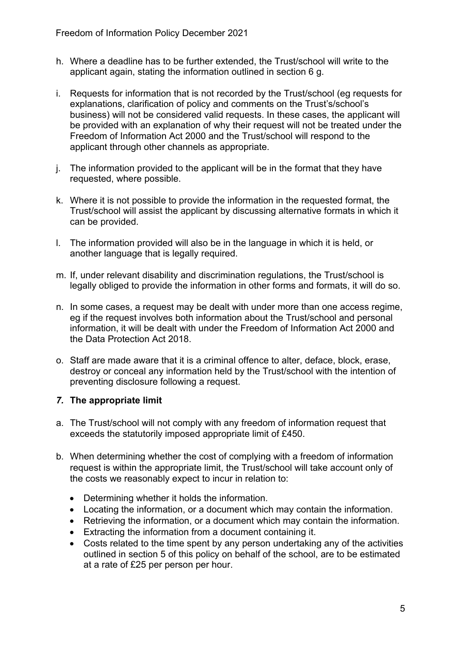- h. Where a deadline has to be further extended, the Trust/school will write to the applicant again, stating the information outlined in section 6 g.
- i. Requests for information that is not recorded by the Trust/school (eg requests for explanations, clarification of policy and comments on the Trust's/school's business) will not be considered valid requests. In these cases, the applicant will be provided with an explanation of why their request will not be treated under the Freedom of Information Act 2000 and the Trust/school will respond to the applicant through other channels as appropriate.
- j. The information provided to the applicant will be in the format that they have requested, where possible.
- k. Where it is not possible to provide the information in the requested format, the Trust/school will assist the applicant by discussing alternative formats in which it can be provided.
- l. The information provided will also be in the language in which it is held, or another language that is legally required.
- m. If, under relevant disability and discrimination regulations, the Trust/school is legally obliged to provide the information in other forms and formats, it will do so.
- n. In some cases, a request may be dealt with under more than one access regime, eg if the request involves both information about the Trust/school and personal information, it will be dealt with under the Freedom of Information Act 2000 and the Data Protection Act 2018.
- o. Staff are made aware that it is a criminal offence to alter, deface, block, erase, destroy or conceal any information held by the Trust/school with the intention of preventing disclosure following a request.

#### *7.* **The appropriate limit**

- a. The Trust/school will not comply with any freedom of information request that exceeds the statutorily imposed appropriate limit of £450.
- b. When determining whether the cost of complying with a freedom of information request is within the appropriate limit, the Trust/school will take account only of the costs we reasonably expect to incur in relation to:
	- Determining whether it holds the information.
	- Locating the information, or a document which may contain the information.
	- Retrieving the information, or a document which may contain the information.
	- Extracting the information from a document containing it.
	- Costs related to the time spent by any person undertaking any of the activities outlined in section 5 of this policy on behalf of the school, are to be estimated at a rate of £25 per person per hour.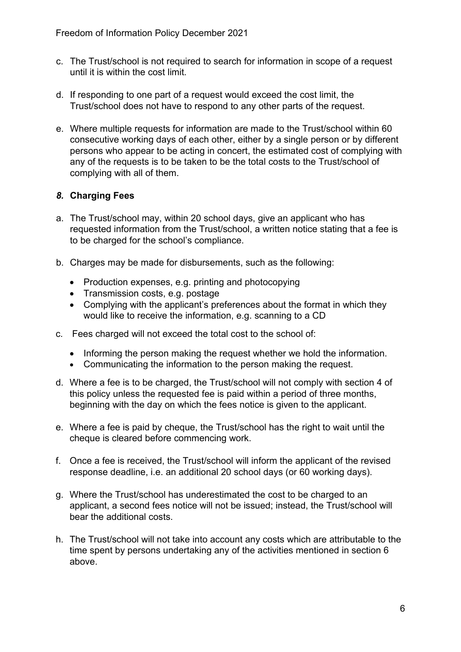- c. The Trust/school is not required to search for information in scope of a request until it is within the cost limit.
- d. If responding to one part of a request would exceed the cost limit, the Trust/school does not have to respond to any other parts of the request.
- e. Where multiple requests for information are made to the Trust/school within 60 consecutive working days of each other, either by a single person or by different persons who appear to be acting in concert, the estimated cost of complying with any of the requests is to be taken to be the total costs to the Trust/school of complying with all of them.

# *8.* **Charging Fees**

- a. The Trust/school may, within 20 school days, give an applicant who has requested information from the Trust/school, a written notice stating that a fee is to be charged for the school's compliance.
- b. Charges may be made for disbursements, such as the following:
	- Production expenses, e.g. printing and photocopying
	- Transmission costs, e.g. postage
	- Complying with the applicant's preferences about the format in which they would like to receive the information, e.g. scanning to a CD
- c. Fees charged will not exceed the total cost to the school of:
	- Informing the person making the request whether we hold the information.
	- Communicating the information to the person making the request.
- d. Where a fee is to be charged, the Trust/school will not comply with section 4 of this policy unless the requested fee is paid within a period of three months, beginning with the day on which the fees notice is given to the applicant.
- e. Where a fee is paid by cheque, the Trust/school has the right to wait until the cheque is cleared before commencing work.
- f. Once a fee is received, the Trust/school will inform the applicant of the revised response deadline, i.e. an additional 20 school days (or 60 working days).
- g. Where the Trust/school has underestimated the cost to be charged to an applicant, a second fees notice will not be issued; instead, the Trust/school will bear the additional costs.
- h. The Trust/school will not take into account any costs which are attributable to the time spent by persons undertaking any of the activities mentioned in section 6 above.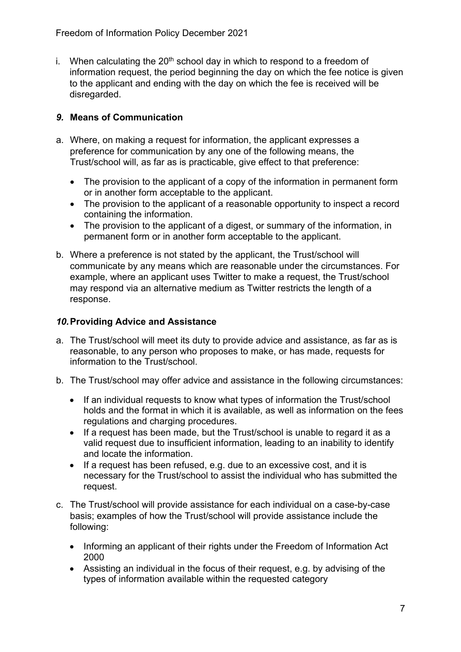i. When calculating the  $20<sup>th</sup>$  school day in which to respond to a freedom of information request, the period beginning the day on which the fee notice is given to the applicant and ending with the day on which the fee is received will be disregarded.

# *9.* **Means of Communication**

- a. Where, on making a request for information, the applicant expresses a preference for communication by any one of the following means, the Trust/school will, as far as is practicable, give effect to that preference:
	- The provision to the applicant of a copy of the information in permanent form or in another form acceptable to the applicant.
	- The provision to the applicant of a reasonable opportunity to inspect a record containing the information.
	- The provision to the applicant of a digest, or summary of the information, in permanent form or in another form acceptable to the applicant.
- b. Where a preference is not stated by the applicant, the Trust/school will communicate by any means which are reasonable under the circumstances. For example, where an applicant uses Twitter to make a request, the Trust/school may respond via an alternative medium as Twitter restricts the length of a response.

### *10.***Providing Advice and Assistance**

- a. The Trust/school will meet its duty to provide advice and assistance, as far as is reasonable, to any person who proposes to make, or has made, requests for information to the Trust/school.
- b. The Trust/school may offer advice and assistance in the following circumstances:
	- If an individual requests to know what types of information the Trust/school holds and the format in which it is available, as well as information on the fees regulations and charging procedures.
	- If a request has been made, but the Trust/school is unable to regard it as a valid request due to insufficient information, leading to an inability to identify and locate the information.
	- If a request has been refused, e.g. due to an excessive cost, and it is necessary for the Trust/school to assist the individual who has submitted the request.
- c. The Trust/school will provide assistance for each individual on a case-by-case basis; examples of how the Trust/school will provide assistance include the following:
	- Informing an applicant of their rights under the Freedom of Information Act 2000
	- Assisting an individual in the focus of their request, e.g. by advising of the types of information available within the requested category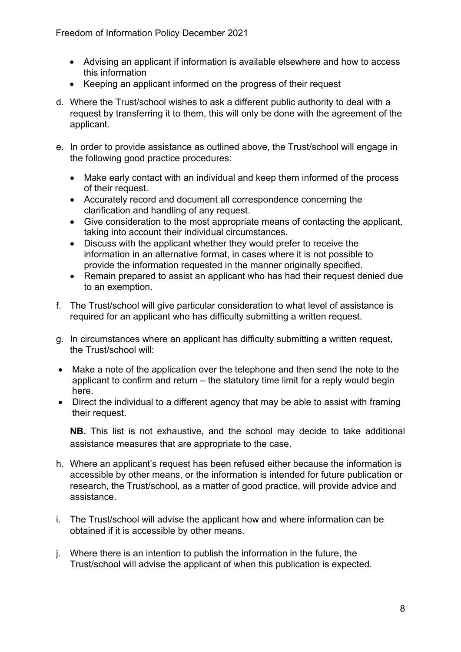- Advising an applicant if information is available elsewhere and how to access this information
- Keeping an applicant informed on the progress of their request
- d. Where the Trust/school wishes to ask a different public authority to deal with a request by transferring it to them, this will only be done with the agreement of the applicant.
- e. In order to provide assistance as outlined above, the Trust/school will engage in the following good practice procedures:
	- Make early contact with an individual and keep them informed of the process of their request.
	- Accurately record and document all correspondence concerning the clarification and handling of any request.
	- Give consideration to the most appropriate means of contacting the applicant, taking into account their individual circumstances.
	- Discuss with the applicant whether they would prefer to receive the information in an alternative format, in cases where it is not possible to provide the information requested in the manner originally specified.
	- Remain prepared to assist an applicant who has had their request denied due to an exemption.
- f. The Trust/school will give particular consideration to what level of assistance is required for an applicant who has difficulty submitting a written request.
- g. In circumstances where an applicant has difficulty submitting a written request, the Trust/school will:
- Make a note of the application over the telephone and then send the note to the applicant to confirm and return – the statutory time limit for a reply would begin here.
- Direct the individual to a different agency that may be able to assist with framing their request.

**NB.** This list is not exhaustive, and the school may decide to take additional assistance measures that are appropriate to the case.

- h. Where an applicant's request has been refused either because the information is accessible by other means, or the information is intended for future publication or research, the Trust/school, as a matter of good practice, will provide advice and assistance.
- i. The Trust/school will advise the applicant how and where information can be obtained if it is accessible by other means.
- j. Where there is an intention to publish the information in the future, the Trust/school will advise the applicant of when this publication is expected.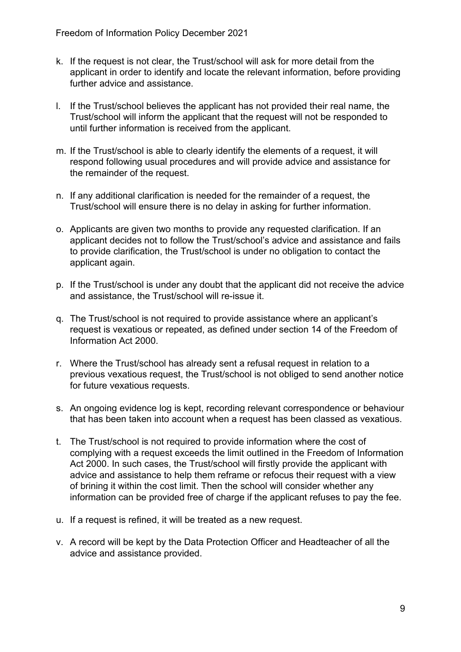- k. If the request is not clear, the Trust/school will ask for more detail from the applicant in order to identify and locate the relevant information, before providing further advice and assistance.
- l. If the Trust/school believes the applicant has not provided their real name, the Trust/school will inform the applicant that the request will not be responded to until further information is received from the applicant.
- m. If the Trust/school is able to clearly identify the elements of a request, it will respond following usual procedures and will provide advice and assistance for the remainder of the request.
- n. If any additional clarification is needed for the remainder of a request, the Trust/school will ensure there is no delay in asking for further information.
- o. Applicants are given two months to provide any requested clarification. If an applicant decides not to follow the Trust/school's advice and assistance and fails to provide clarification, the Trust/school is under no obligation to contact the applicant again.
- p. If the Trust/school is under any doubt that the applicant did not receive the advice and assistance, the Trust/school will re-issue it.
- q. The Trust/school is not required to provide assistance where an applicant's request is vexatious or repeated, as defined under section 14 of the Freedom of Information Act 2000.
- r. Where the Trust/school has already sent a refusal request in relation to a previous vexatious request, the Trust/school is not obliged to send another notice for future vexatious requests.
- s. An ongoing evidence log is kept, recording relevant correspondence or behaviour that has been taken into account when a request has been classed as vexatious.
- t. The Trust/school is not required to provide information where the cost of complying with a request exceeds the limit outlined in the Freedom of Information Act 2000. In such cases, the Trust/school will firstly provide the applicant with advice and assistance to help them reframe or refocus their request with a view of brining it within the cost limit. Then the school will consider whether any information can be provided free of charge if the applicant refuses to pay the fee.
- u. If a request is refined, it will be treated as a new request.
- v. A record will be kept by the Data Protection Officer and Headteacher of all the advice and assistance provided.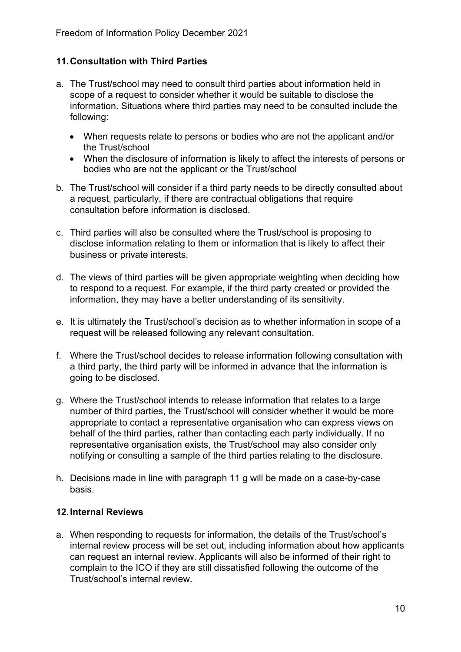## **11.Consultation with Third Parties**

- a. The Trust/school may need to consult third parties about information held in scope of a request to consider whether it would be suitable to disclose the information. Situations where third parties may need to be consulted include the following:
	- When requests relate to persons or bodies who are not the applicant and/or the Trust/school
	- When the disclosure of information is likely to affect the interests of persons or bodies who are not the applicant or the Trust/school
- b. The Trust/school will consider if a third party needs to be directly consulted about a request, particularly, if there are contractual obligations that require consultation before information is disclosed.
- c. Third parties will also be consulted where the Trust/school is proposing to disclose information relating to them or information that is likely to affect their business or private interests.
- d. The views of third parties will be given appropriate weighting when deciding how to respond to a request. For example, if the third party created or provided the information, they may have a better understanding of its sensitivity.
- e. It is ultimately the Trust/school's decision as to whether information in scope of a request will be released following any relevant consultation.
- f. Where the Trust/school decides to release information following consultation with a third party, the third party will be informed in advance that the information is going to be disclosed.
- g. Where the Trust/school intends to release information that relates to a large number of third parties, the Trust/school will consider whether it would be more appropriate to contact a representative organisation who can express views on behalf of the third parties, rather than contacting each party individually. If no representative organisation exists, the Trust/school may also consider only notifying or consulting a sample of the third parties relating to the disclosure.
- h. Decisions made in line with paragraph 11 g will be made on a case-by-case basis.

#### **12.Internal Reviews**

a. When responding to requests for information, the details of the Trust/school's internal review process will be set out, including information about how applicants can request an internal review. Applicants will also be informed of their right to complain to the ICO if they are still dissatisfied following the outcome of the Trust/school's internal review.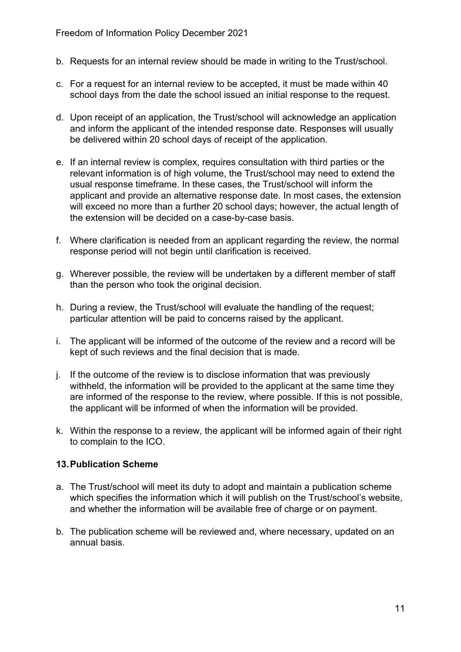- b. Requests for an internal review should be made in writing to the Trust/school.
- c. For a request for an internal review to be accepted, it must be made within 40 school days from the date the school issued an initial response to the request.
- d. Upon receipt of an application, the Trust/school will acknowledge an application and inform the applicant of the intended response date. Responses will usually be delivered within 20 school days of receipt of the application.
- e. If an internal review is complex, requires consultation with third parties or the relevant information is of high volume, the Trust/school may need to extend the usual response timeframe. In these cases, the Trust/school will inform the applicant and provide an alternative response date. In most cases, the extension will exceed no more than a further 20 school days; however, the actual length of the extension will be decided on a case-by-case basis.
- f. Where clarification is needed from an applicant regarding the review, the normal response period will not begin until clarification is received.
- g. Wherever possible, the review will be undertaken by a different member of staff than the person who took the original decision.
- h. During a review, the Trust/school will evaluate the handling of the request; particular attention will be paid to concerns raised by the applicant.
- i. The applicant will be informed of the outcome of the review and a record will be kept of such reviews and the final decision that is made.
- j. If the outcome of the review is to disclose information that was previously withheld, the information will be provided to the applicant at the same time they are informed of the response to the review, where possible. If this is not possible, the applicant will be informed of when the information will be provided.
- k. Within the response to a review, the applicant will be informed again of their right to complain to the ICO.

#### **13.Publication Scheme**

- a. The Trust/school will meet its duty to adopt and maintain a publication scheme which specifies the information which it will publish on the Trust/school's website, and whether the information will be available free of charge or on payment.
- b. The publication scheme will be reviewed and, where necessary, updated on an annual basis.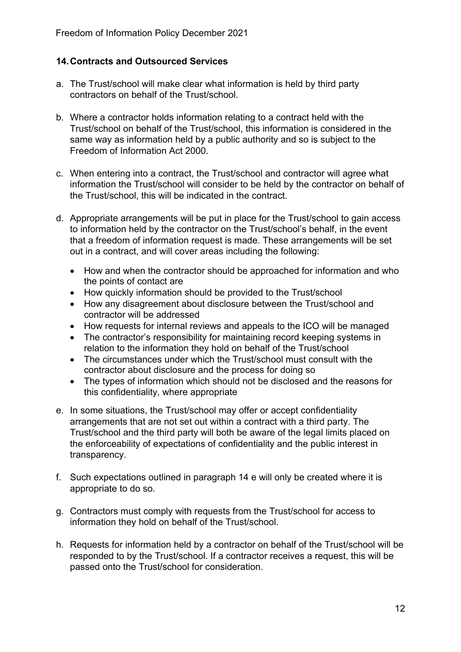### **14.Contracts and Outsourced Services**

- a. The Trust/school will make clear what information is held by third party contractors on behalf of the Trust/school.
- b. Where a contractor holds information relating to a contract held with the Trust/school on behalf of the Trust/school, this information is considered in the same way as information held by a public authority and so is subject to the Freedom of Information Act 2000.
- c. When entering into a contract, the Trust/school and contractor will agree what information the Trust/school will consider to be held by the contractor on behalf of the Trust/school, this will be indicated in the contract.
- d. Appropriate arrangements will be put in place for the Trust/school to gain access to information held by the contractor on the Trust/school's behalf, in the event that a freedom of information request is made. These arrangements will be set out in a contract, and will cover areas including the following:
	- How and when the contractor should be approached for information and who the points of contact are
	- How quickly information should be provided to the Trust/school
	- How any disagreement about disclosure between the Trust/school and contractor will be addressed
	- How requests for internal reviews and appeals to the ICO will be managed
	- The contractor's responsibility for maintaining record keeping systems in relation to the information they hold on behalf of the Trust/school
	- The circumstances under which the Trust/school must consult with the contractor about disclosure and the process for doing so
	- The types of information which should not be disclosed and the reasons for this confidentiality, where appropriate
- e. In some situations, the Trust/school may offer or accept confidentiality arrangements that are not set out within a contract with a third party. The Trust/school and the third party will both be aware of the legal limits placed on the enforceability of expectations of confidentiality and the public interest in transparency.
- f. Such expectations outlined in paragraph 14 e will only be created where it is appropriate to do so.
- g. Contractors must comply with requests from the Trust/school for access to information they hold on behalf of the Trust/school.
- h. Requests for information held by a contractor on behalf of the Trust/school will be responded to by the Trust/school. If a contractor receives a request, this will be passed onto the Trust/school for consideration.